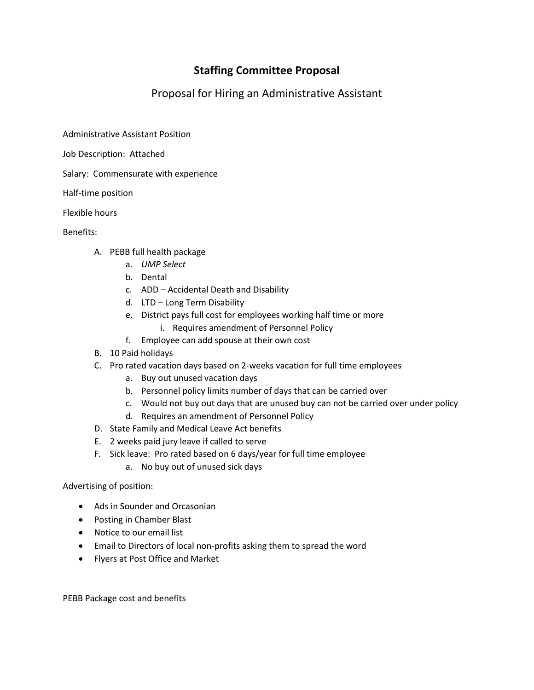## **Staffing Committee Proposal**

## Proposal for Hiring an Administrative Assistant

Administrative Assistant Position

Job Description: Attached

Salary: Commensurate with experience

Half-time position

Flexible hours

## Benefits:

- A. PEBB full health package
	- a. *UMP Select*
	- b. Dental
	- c. ADD Accidental Death and Disability
	- d. LTD Long Term Disability
	- e. District pays full cost for employees working half time or more
		- i. Requires amendment of Personnel Policy
	- f. Employee can add spouse at their own cost
- B. 10 Paid holidays
- C. Pro rated vacation days based on 2-weeks vacation for full time employees
	- a. Buy out unused vacation days
	- b. Personnel policy limits number of days that can be carried over
	- c. Would not buy out days that are unused buy can not be carried over under policy
	- d. Requires an amendment of Personnel Policy
- D. State Family and Medical Leave Act benefits
- E. 2 weeks paid jury leave if called to serve
- F. Sick leave: Pro rated based on 6 days/year for full time employee
	- a. No buy out of unused sick days

Advertising of position:

- Ads in Sounder and Orcasonian
- Posting in Chamber Blast
- Notice to our email list
- Email to Directors of local non-profits asking them to spread the word
- Flyers at Post Office and Market

PEBB Package cost and benefits